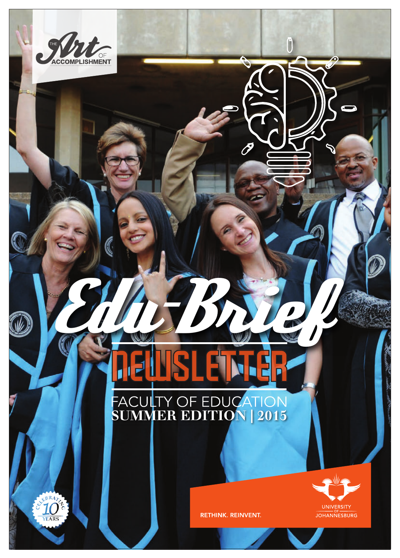# COMPLISHMENT 0 Edu-BriefFACULTY OF EDUCATION<br>SUMMER EDITION | 2015 UNIVERSITY RETHINK. REINVENT. **JOHANNESBURG** 1 Edu-Brief@UJ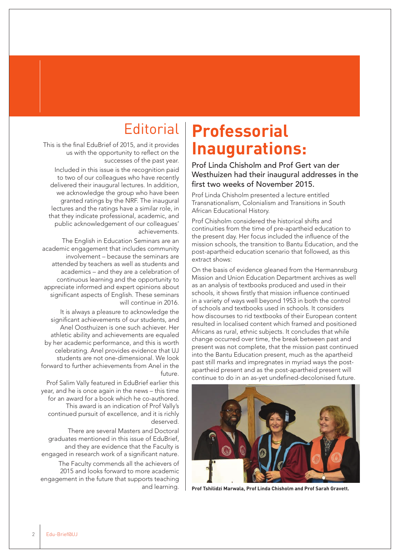This is the final EduBrief of 2015, and it provides us with the opportunity to reflect on the successes of the past year.

Included in this issue is the recognition paid to two of our colleagues who have recently delivered their inaugural lectures. In addition, we acknowledge the group who have been granted ratings by the NRF. The inaugural lectures and the ratings have a similar role, in that they indicate professional, academic, and public acknowledgement of our colleagues' achievements.

The English in Education Seminars are an academic engagement that includes community involvement – because the seminars are attended by teachers as well as students and academics – and they are a celebration of continuous learning and the opportunity to appreciate informed and expert opinions about significant aspects of English. These seminars will continue in 2016.

It is always a pleasure to acknowledge the significant achievements of our students, and Anel Oosthuizen is one such achiever. Her athletic ability and achievements are equaled by her academic performance, and this is worth celebrating. Anel provides evidence that UJ students are not one-dimensional. We look forward to further achievements from Anel in the future.

Prof Salim Vally featured in EduBrief earlier this year, and he is once again in the news – this time for an award for a book which he co-authored. This award is an indication of Prof Vally's continued pursuit of excellence, and it is richly deserved.

There are several Masters and Doctoral graduates mentioned in this issue of EduBrief, and they are evidence that the Faculty is engaged in research work of a significant nature.

The Faculty commends all the achievers of 2015 and looks forward to more academic engagement in the future that supports teaching and learning.

# Editorial **Professorial Inaugurations:**

Prof Linda Chisholm and Prof Gert van der Westhuizen had their inaugural addresses in the first two weeks of November 2015.

Prof Linda Chisholm presented a lecture entitled Transnationalism, Colonialism and Transitions in South African Educational History.

Prof Chisholm considered the historical shifts and continuities from the time of pre-apartheid education to the present day. Her focus included the influence of the mission schools, the transition to Bantu Education, and the post-apartheid education scenario that followed, as this extract shows:

On the basis of evidence gleaned from the Hermannsburg Mission and Union Education Department archives as well as an analysis of textbooks produced and used in their schools, it shows firstly that mission influence continued in a variety of ways well beyond 1953 in both the control of schools and textbooks used in schools. It considers how discourses to rid textbooks of their European content resulted in localised content which framed and positioned Africans as rural, ethnic subjects. It concludes that while change occurred over time, the break between past and present was not complete, that the mission past continued into the Bantu Education present, much as the apartheid past still marks and impregnates in myriad ways the postapartheid present and as the post-apartheid present will continue to do in an as-yet undefined-decolonised future.



**Prof Tshilidzi Marwala, Prof Linda Chisholm and Prof Sarah Gravett.**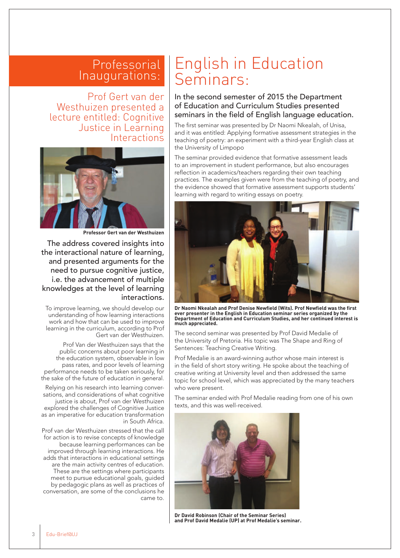#### Professorial Inaugurations:

Prof Gert van der Westhuizen presented a lecture entitled: Cognitive Justice in Learning **Interactions** 



**Professor Gert van der Westhuizen**

The address covered insights into the interactional nature of learning, and presented arguments for the need to pursue cognitive justice, i.e. the advancement of multiple knowledges at the level of learning interactions.

To improve learning, we should develop our understanding of how learning interactions work and how that can be used to improve learning in the curriculum, according to Prof Gert van der Westhuizen.

Prof Van der Westhuizen says that the public concerns about poor learning in the education system, observable in low pass rates, and poor levels of learning performance needs to be taken seriously, for the sake of the future of education in general.

Relying on his research into learning conversations, and considerations of what cognitive justice is about, Prof van der Westhuizen explored the challenges of Cognitive Justice as an imperative for education transformation in South Africa.

Prof van der Westhuizen stressed that the call for action is to revise concepts of knowledge because learning performances can be improved through learning interactions. He adds that interactions in educational settings are the main activity centres of education. These are the settings where participants meet to pursue educational goals, guided by pedagogic plans as well as practices of conversation, are some of the conclusions he came to.

## English in Education Seminars:

In the second semester of 2015 the Department of Education and Curriculum Studies presented seminars in the field of English language education.

The first seminar was presented by Dr Naomi Nkealah, of Unisa, and it was entitled: Applying formative assessment strategies in the teaching of poetry: an experiment with a third-year English class at the University of Limpopo

The seminar provided evidence that formative assessment leads to an improvement in student performance, but also encourages reflection in academics/teachers regarding their own teaching practices. The examples given were from the teaching of poetry, and the evidence showed that formative assessment supports students' learning with regard to writing essays on poetry.



**Dr Naomi Nkealah and Prof Denise Newfield (Wits). Prof Newfield was the first ever presenter in the English in Education seminar series organized by the Department of Education and Curriculum Studies, and her continued interest is much appreciated.**

The second seminar was presented by Prof David Medalie of the University of Pretoria. His topic was The Shape and Ring of Sentences: Teaching Creative Writing.

Prof Medalie is an award-winning author whose main interest is in the field of short story writing. He spoke about the teaching of creative writing at University level and then addressed the same topic for school level, which was appreciated by the many teachers who were present.

The seminar ended with Prof Medalie reading from one of his own texts, and this was well-received.



**Dr David Robinson (Chair of the Seminar Series) and Prof David Medalie (UP) at Prof Medalie's seminar.**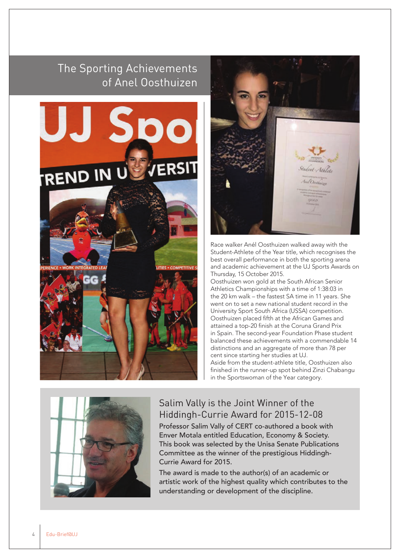### The Sporting Achievements of Anel Oosthuizen





Race walker Anél Oosthuizen walked away with the Student-Athlete of the Year title, which recognises the best overall performance in both the sporting arena and academic achievement at the UJ Sports Awards on Thursday, 15 October 2015.

Oosthuizen won gold at the South African Senior Athletics Championships with a time of 1:38:03 in the 20 km walk – the fastest SA time in 11 years. She went on to set a new national student record in the University Sport South Africa (USSA) competition. Oosthuizen placed fifth at the African Games and attained a top-20 finish at the Coruna Grand Prix in Spain. The second-year Foundation Phase student balanced these achievements with a commendable 14 distinctions and an aggregate of more than 78 per cent since starting her studies at UJ. Aside from the student-athlete title, Oosthuizen also finished in the runner-up spot behind Zinzi Chabangu in the Sportswoman of the Year category.



#### Salim Vally is the Joint Winner of the Hiddingh-Currie Award for 2015-12-08

Professor Salim Vally of CERT co-authored a book with Enver Motala entitled Education, Economy & Society. This book was selected by the Unisa Senate Publications Committee as the winner of the prestigious Hiddingh-Currie Award for 2015.

The award is made to the author(s) of an academic or artistic work of the highest quality which contributes to the understanding or development of the discipline.